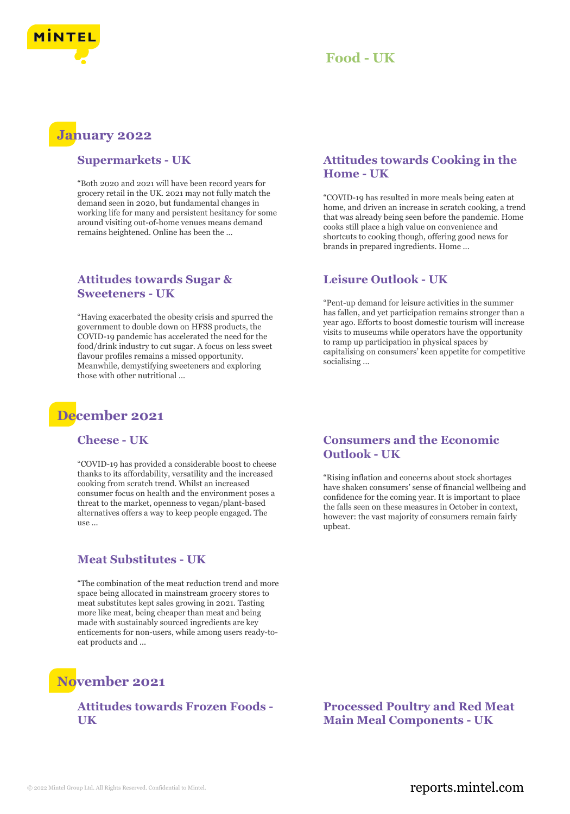

# **January 2022**

#### **Supermarkets - UK**

"Both 2020 and 2021 will have been record years for grocery retail in the UK. 2021 may not fully match the demand seen in 2020, but fundamental changes in working life for many and persistent hesitancy for some around visiting out-of-home venues means demand remains heightened. Online has been the ...

# **Attitudes towards Sugar & Sweeteners - UK**

"Having exacerbated the obesity crisis and spurred the government to double down on HFSS products, the COVID-19 pandemic has accelerated the need for the food/drink industry to cut sugar. A focus on less sweet flavour profiles remains a missed opportunity. Meanwhile, demystifying sweeteners and exploring those with other nutritional ...

# **December 2021**

#### **Cheese - UK**

"COVID-19 has provided a considerable boost to cheese thanks to its affordability, versatility and the increased cooking from scratch trend. Whilst an increased consumer focus on health and the environment poses a threat to the market, openness to vegan/plant-based alternatives offers a way to keep people engaged. The use ...

# **Meat Substitutes - UK**

"The combination of the meat reduction trend and more space being allocated in mainstream grocery stores to meat substitutes kept sales growing in 2021. Tasting more like meat, being cheaper than meat and being made with sustainably sourced ingredients are key enticements for non-users, while among users ready-toeat products and ...

# **November 2021**

#### **Attitudes towards Frozen Foods - UK**

# **Attitudes towards Cooking in the Home - UK**

"COVID-19 has resulted in more meals being eaten at home, and driven an increase in scratch cooking, a trend that was already being seen before the pandemic. Home cooks still place a high value on convenience and shortcuts to cooking though, offering good news for brands in prepared ingredients. Home ...

# **Leisure Outlook - UK**

"Pent-up demand for leisure activities in the summer has fallen, and yet participation remains stronger than a year ago. Efforts to boost domestic tourism will increase visits to museums while operators have the opportunity to ramp up participation in physical spaces by capitalising on consumers' keen appetite for competitive socialising ...

# **Consumers and the Economic Outlook - UK**

"Rising inflation and concerns about stock shortages have shaken consumers' sense of financial wellbeing and confidence for the coming year. It is important to place the falls seen on these measures in October in context, however: the vast majority of consumers remain fairly upbeat.

**Processed Poultry and Red Meat Main Meal Components - UK**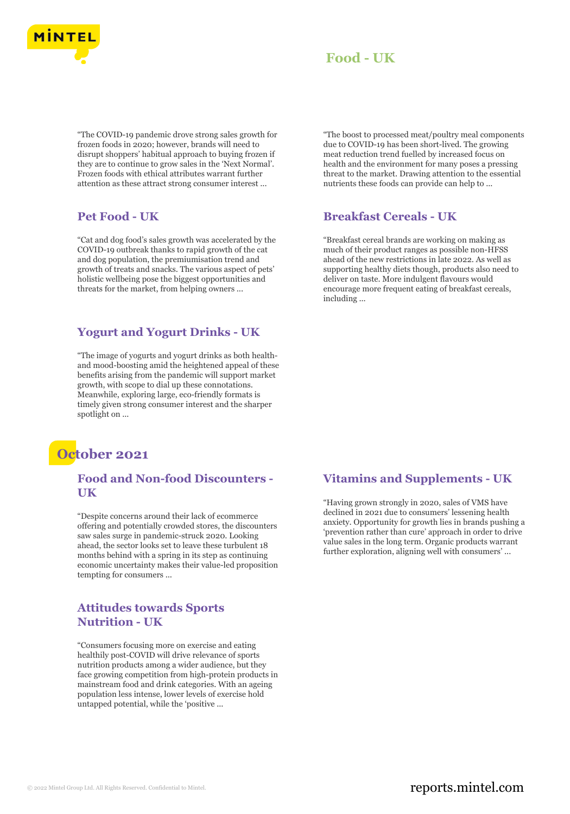

"The COVID-19 pandemic drove strong sales growth for frozen foods in 2020; however, brands will need to disrupt shoppers' habitual approach to buying frozen if they are to continue to grow sales in the 'Next Normal'. Frozen foods with ethical attributes warrant further attention as these attract strong consumer interest ...

#### **Pet Food - UK**

"Cat and dog food's sales growth was accelerated by the COVID-19 outbreak thanks to rapid growth of the cat and dog population, the premiumisation trend and growth of treats and snacks. The various aspect of pets' holistic wellbeing pose the biggest opportunities and threats for the market, from helping owners ...

# **Yogurt and Yogurt Drinks - UK**

"The image of yogurts and yogurt drinks as both healthand mood-boosting amid the heightened appeal of these benefits arising from the pandemic will support market growth, with scope to dial up these connotations. Meanwhile, exploring large, eco-friendly formats is timely given strong consumer interest and the sharper spotlight on ...



# **Food and Non-food Discounters - UK**

"Despite concerns around their lack of ecommerce offering and potentially crowded stores, the discounters saw sales surge in pandemic-struck 2020. Looking ahead, the sector looks set to leave these turbulent 18 months behind with a spring in its step as continuing economic uncertainty makes their value-led proposition tempting for consumers ...

# **Attitudes towards Sports Nutrition - UK**

"Consumers focusing more on exercise and eating healthily post-COVID will drive relevance of sports nutrition products among a wider audience, but they face growing competition from high-protein products in mainstream food and drink categories. With an ageing population less intense, lower levels of exercise hold untapped potential, while the 'positive ...

"The boost to processed meat/poultry meal components due to COVID-19 has been short-lived. The growing meat reduction trend fuelled by increased focus on health and the environment for many poses a pressing threat to the market. Drawing attention to the essential nutrients these foods can provide can help to ...

#### **Breakfast Cereals - UK**

"Breakfast cereal brands are working on making as much of their product ranges as possible non-HFSS ahead of the new restrictions in late 2022. As well as supporting healthy diets though, products also need to deliver on taste. More indulgent flavours would encourage more frequent eating of breakfast cereals, including ...

# **Vitamins and Supplements - UK**

"Having grown strongly in 2020, sales of VMS have declined in 2021 due to consumers' lessening health anxiety. Opportunity for growth lies in brands pushing a 'prevention rather than cure' approach in order to drive value sales in the long term. Organic products warrant further exploration, aligning well with consumers' ...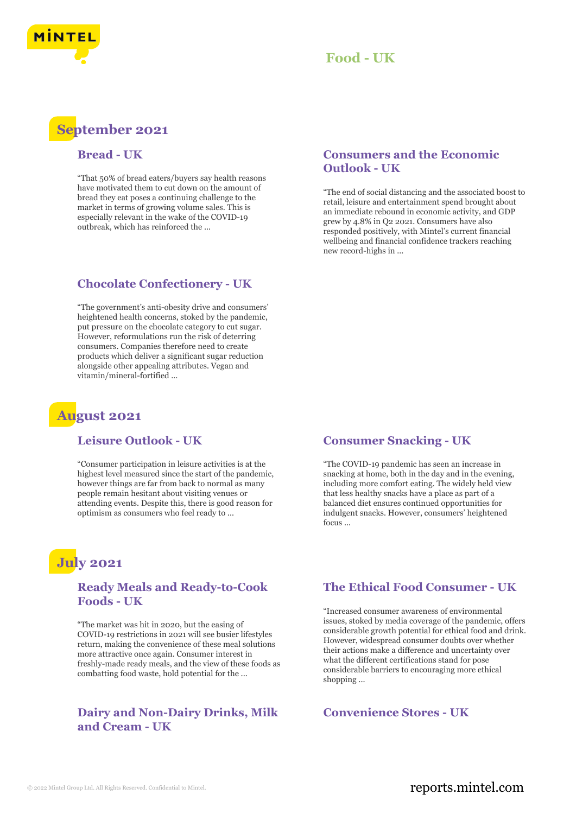

# **September 2021**

# **Bread - UK**

"That 50% of bread eaters/buyers say health reasons have motivated them to cut down on the amount of bread they eat poses a continuing challenge to the market in terms of growing volume sales. This is especially relevant in the wake of the COVID-19 outbreak, which has reinforced the ...

# **Chocolate Confectionery - UK**

"The government's anti-obesity drive and consumers' heightened health concerns, stoked by the pandemic, put pressure on the chocolate category to cut sugar. However, reformulations run the risk of deterring consumers. Companies therefore need to create products which deliver a significant sugar reduction alongside other appealing attributes. Vegan and vitamin/mineral-fortified ...

# **August 2021**

#### **Leisure Outlook - UK**

"Consumer participation in leisure activities is at the highest level measured since the start of the pandemic, however things are far from back to normal as many people remain hesitant about visiting venues or attending events. Despite this, there is good reason for optimism as consumers who feel ready to ...

# **July 2021**

# **Ready Meals and Ready-to-Cook Foods - UK**

"The market was hit in 2020, but the easing of COVID-19 restrictions in 2021 will see busier lifestyles return, making the convenience of these meal solutions more attractive once again. Consumer interest in freshly-made ready meals, and the view of these foods as combatting food waste, hold potential for the ...

# **Dairy and Non-Dairy Drinks, Milk and Cream - UK**

# **Consumers and the Economic Outlook - UK**

"The end of social distancing and the associated boost to retail, leisure and entertainment spend brought about an immediate rebound in economic activity, and GDP grew by 4.8% in Q2 2021. Consumers have also responded positively, with Mintel's current financial wellbeing and financial confidence trackers reaching new record-highs in ...

#### **Consumer Snacking - UK**

"The COVID-19 pandemic has seen an increase in snacking at home, both in the day and in the evening, including more comfort eating. The widely held view that less healthy snacks have a place as part of a balanced diet ensures continued opportunities for indulgent snacks. However, consumers' heightened focus ...

# **The Ethical Food Consumer - UK**

"Increased consumer awareness of environmental issues, stoked by media coverage of the pandemic, offers considerable growth potential for ethical food and drink. However, widespread consumer doubts over whether their actions make a difference and uncertainty over what the different certifications stand for pose considerable barriers to encouraging more ethical shopping ...

# **Convenience Stores - UK**

# © 2022 Mintel Group Ltd. All Rights Reserved. Confidential to Mintel.  $\blacksquare$  reports.mintel.com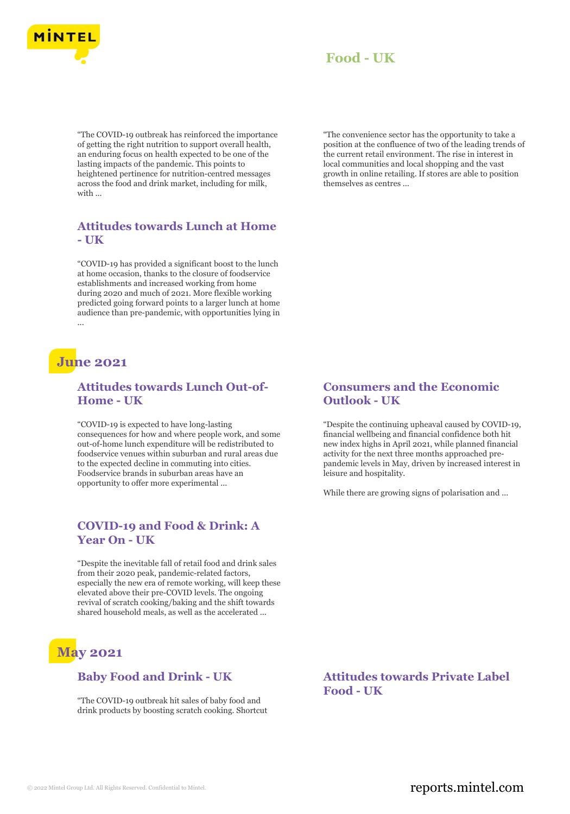

"The COVID-19 outbreak has reinforced the importance of getting the right nutrition to support overall health, an enduring focus on health expected to be one of the lasting impacts of the pandemic. This points to heightened pertinence for nutrition-centred messages across the food and drink market, including for milk, with ...

# **Attitudes towards Lunch at Home - UK**

"COVID-19 has provided a significant boost to the lunch at home occasion, thanks to the closure of foodservice establishments and increased working from home during 2020 and much of 2021. More flexible working predicted going forward points to a larger lunch at home audience than pre-pandemic, with opportunities lying in ...

# **June 2021**

# **Attitudes towards Lunch Out-of-Home - UK**

"COVID-19 is expected to have long-lasting consequences for how and where people work, and some out-of-home lunch expenditure will be redistributed to foodservice venues within suburban and rural areas due to the expected decline in commuting into cities. Foodservice brands in suburban areas have an opportunity to offer more experimental ...

# **COVID-19 and Food & Drink: A Year On - UK**

"Despite the inevitable fall of retail food and drink sales from their 2020 peak, pandemic-related factors, especially the new era of remote working, will keep these elevated above their pre-COVID levels. The ongoing revival of scratch cooking/baking and the shift towards shared household meals, as well as the accelerated ...

# **May 2021**

# **Baby Food and Drink - UK**

"The COVID-19 outbreak hit sales of baby food and drink products by boosting scratch cooking. Shortcut "The convenience sector has the opportunity to take a position at the confluence of two of the leading trends of the current retail environment. The rise in interest in local communities and local shopping and the vast growth in online retailing. If stores are able to position themselves as centres ...

# **Consumers and the Economic Outlook - UK**

"Despite the continuing upheaval caused by COVID-19, financial wellbeing and financial confidence both hit new index highs in April 2021, while planned financial activity for the next three months approached prepandemic levels in May, driven by increased interest in leisure and hospitality.

While there are growing signs of polarisation and ...

**Attitudes towards Private Label Food - UK**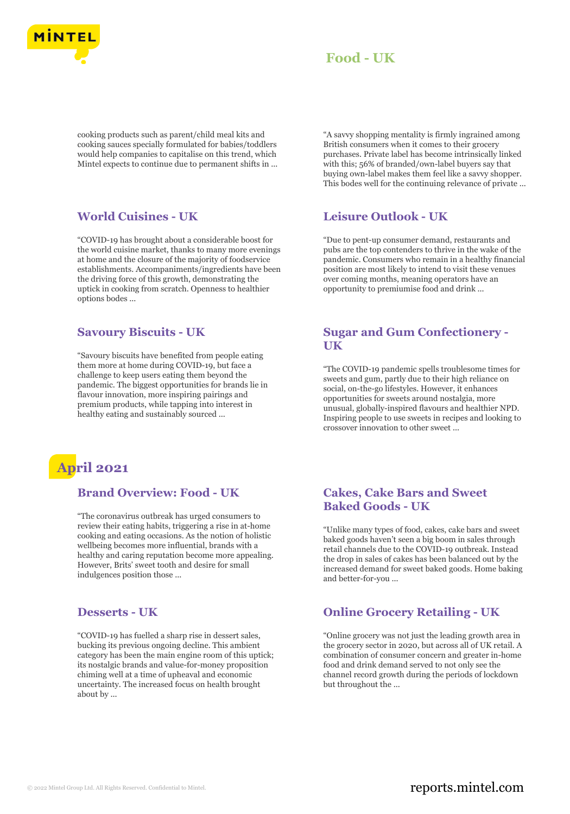

cooking products such as parent/child meal kits and cooking sauces specially formulated for babies/toddlers would help companies to capitalise on this trend, which Mintel expects to continue due to permanent shifts in ...

# **World Cuisines - UK**

"COVID-19 has brought about a considerable boost for the world cuisine market, thanks to many more evenings at home and the closure of the majority of foodservice establishments. Accompaniments/ingredients have been the driving force of this growth, demonstrating the uptick in cooking from scratch. Openness to healthier options bodes ...

# **Savoury Biscuits - UK**

"Savoury biscuits have benefited from people eating them more at home during COVID-19, but face a challenge to keep users eating them beyond the pandemic. The biggest opportunities for brands lie in flavour innovation, more inspiring pairings and premium products, while tapping into interest in healthy eating and sustainably sourced ...



#### **Brand Overview: Food - UK**

"The coronavirus outbreak has urged consumers to review their eating habits, triggering a rise in at-home cooking and eating occasions. As the notion of holistic wellbeing becomes more influential, brands with a healthy and caring reputation become more appealing. However, Brits' sweet tooth and desire for small indulgences position those ...

# **Desserts - UK**

"COVID-19 has fuelled a sharp rise in dessert sales, bucking its previous ongoing decline. This ambient category has been the main engine room of this uptick; its nostalgic brands and value-for-money proposition chiming well at a time of upheaval and economic uncertainty. The increased focus on health brought about by ...

"A savvy shopping mentality is firmly ingrained among British consumers when it comes to their grocery purchases. Private label has become intrinsically linked with this; 56% of branded/own-label buyers say that buying own-label makes them feel like a savvy shopper. This bodes well for the continuing relevance of private ...

#### **Leisure Outlook - UK**

"Due to pent-up consumer demand, restaurants and pubs are the top contenders to thrive in the wake of the pandemic. Consumers who remain in a healthy financial position are most likely to intend to visit these venues over coming months, meaning operators have an opportunity to premiumise food and drink ...

### **Sugar and Gum Confectionery - UK**

"The COVID-19 pandemic spells troublesome times for sweets and gum, partly due to their high reliance on social, on-the-go lifestyles. However, it enhances opportunities for sweets around nostalgia, more unusual, globally-inspired flavours and healthier NPD. Inspiring people to use sweets in recipes and looking to crossover innovation to other sweet ...

# **Cakes, Cake Bars and Sweet Baked Goods - UK**

"Unlike many types of food, cakes, cake bars and sweet baked goods haven't seen a big boom in sales through retail channels due to the COVID-19 outbreak. Instead the drop in sales of cakes has been balanced out by the increased demand for sweet baked goods. Home baking and better-for-you ...

# **Online Grocery Retailing - UK**

"Online grocery was not just the leading growth area in the grocery sector in 2020, but across all of UK retail. A combination of consumer concern and greater in-home food and drink demand served to not only see the channel record growth during the periods of lockdown but throughout the ...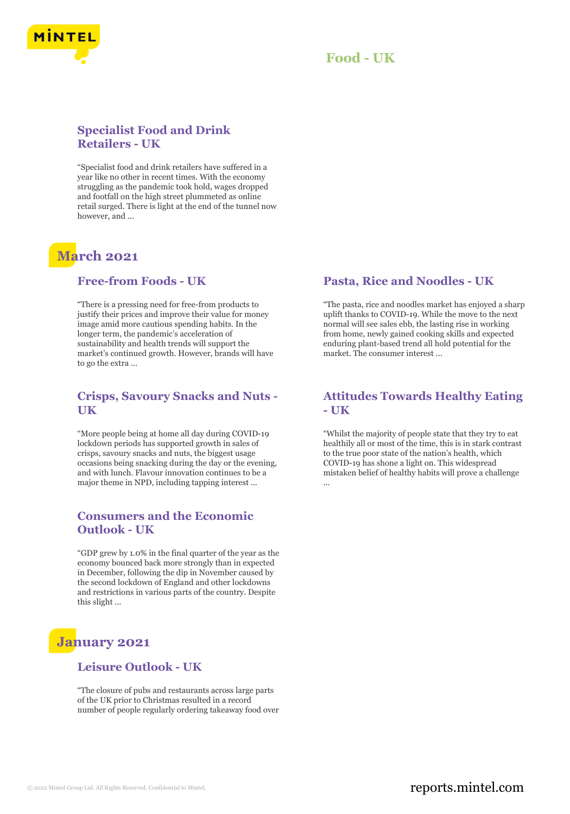



# **Specialist Food and Drink Retailers - UK**

"Specialist food and drink retailers have suffered in a year like no other in recent times. With the economy struggling as the pandemic took hold, wages dropped and footfall on the high street plummeted as online retail surged. There is light at the end of the tunnel now however, and ...

# **March 2021**

# **Free-from Foods - UK**

"There is a pressing need for free-from products to justify their prices and improve their value for money image amid more cautious spending habits. In the longer term, the pandemic's acceleration of sustainability and health trends will support the market's continued growth. However, brands will have to go the extra ...

# **Crisps, Savoury Snacks and Nuts - UK**

"More people being at home all day during COVID-19 lockdown periods has supported growth in sales of crisps, savoury snacks and nuts, the biggest usage occasions being snacking during the day or the evening, and with lunch. Flavour innovation continues to be a major theme in NPD, including tapping interest ...

# **Consumers and the Economic Outlook - UK**

"GDP grew by 1.0% in the final quarter of the year as the economy bounced back more strongly than in expected in December, following the dip in November caused by the second lockdown of England and other lockdowns and restrictions in various parts of the country. Despite this slight ...

# **January 2021**

#### **Leisure Outlook - UK**

"The closure of pubs and restaurants across large parts of the UK prior to Christmas resulted in a record number of people regularly ordering takeaway food over

# **Pasta, Rice and Noodles - UK**

"The pasta, rice and noodles market has enjoyed a sharp uplift thanks to COVID-19. While the move to the next normal will see sales ebb, the lasting rise in working from home, newly gained cooking skills and expected enduring plant-based trend all hold potential for the market. The consumer interest ...

# **Attitudes Towards Healthy Eating - UK**

"Whilst the majority of people state that they try to eat healthily all or most of the time, this is in stark contrast to the true poor state of the nation's health, which COVID-19 has shone a light on. This widespread mistaken belief of healthy habits will prove a challenge ...